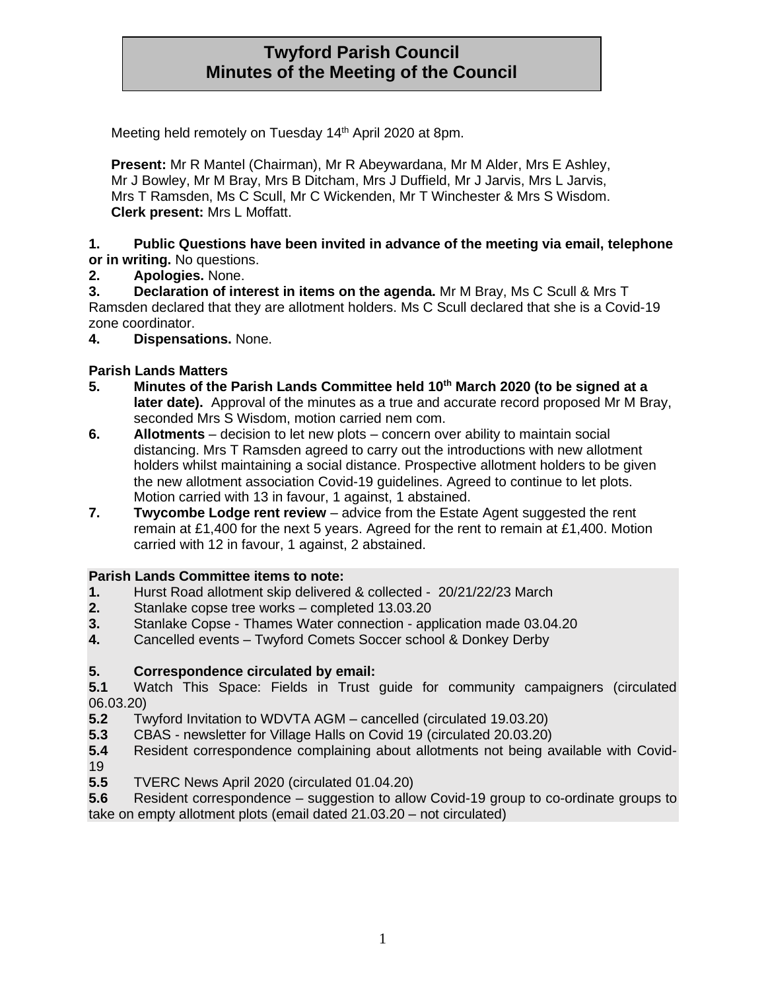# **Twyford Parish Council Minutes of the Meeting of the Council**

Meeting held remotely on Tuesday 14<sup>th</sup> April 2020 at 8pm.

**Present:** Mr R Mantel (Chairman), Mr R Abeywardana, Mr M Alder, Mrs E Ashley, Mr J Bowley, Mr M Bray, Mrs B Ditcham, Mrs J Duffield, Mr J Jarvis, Mrs L Jarvis, Mrs T Ramsden, Ms C Scull, Mr C Wickenden, Mr T Winchester & Mrs S Wisdom. **Clerk present:** Mrs L Moffatt.

#### **1. Public Questions have been invited in advance of the meeting via email, telephone or in writing.** No questions.

**2. Apologies.** None.

**3. Declaration of interest in items on the agenda.** Mr M Bray, Ms C Scull & Mrs T Ramsden declared that they are allotment holders. Ms C Scull declared that she is a Covid-19 zone coordinator.

**4. Dispensations.** None.

# **Parish Lands Matters**

- **5. Minutes of the Parish Lands Committee held 10th March 2020 (to be signed at a later date).** Approval of the minutes as a true and accurate record proposed Mr M Bray, seconded Mrs S Wisdom, motion carried nem com.
- **6. Allotments**  decision to let new plots concern over ability to maintain social distancing. Mrs T Ramsden agreed to carry out the introductions with new allotment holders whilst maintaining a social distance. Prospective allotment holders to be given the new allotment association Covid-19 guidelines. Agreed to continue to let plots. Motion carried with 13 in favour, 1 against, 1 abstained.
- **7.** Twycombe Lodge rent review advice from the Estate Agent suggested the rent remain at £1,400 for the next 5 years. Agreed for the rent to remain at £1,400. Motion carried with 12 in favour, 1 against, 2 abstained.

## **Parish Lands Committee items to note:**

- **1.** Hurst Road allotment skip delivered & collected 20/21/22/23 March
- **2.** Stanlake copse tree works completed 13.03.20
- **3.** Stanlake Copse Thames Water connection application made 03.04.20
- **4.** Cancelled events Twyford Comets Soccer school & Donkey Derby

## **5. Correspondence circulated by email:**

**5.1** Watch This Space: Fields in Trust guide for community campaigners (circulated 06.03.20)

- **5.2** Twyford Invitation to WDVTA AGM cancelled (circulated 19.03.20)
- **5.3** CBAS newsletter for Village Halls on Covid 19 (circulated 20.03.20)
- **5.4** Resident correspondence complaining about allotments not being available with Covid-19
- **5.5** TVERC News April 2020 (circulated 01.04.20)

**5.6** Resident correspondence – suggestion to allow Covid-19 group to co-ordinate groups to take on empty allotment plots (email dated 21.03.20 – not circulated)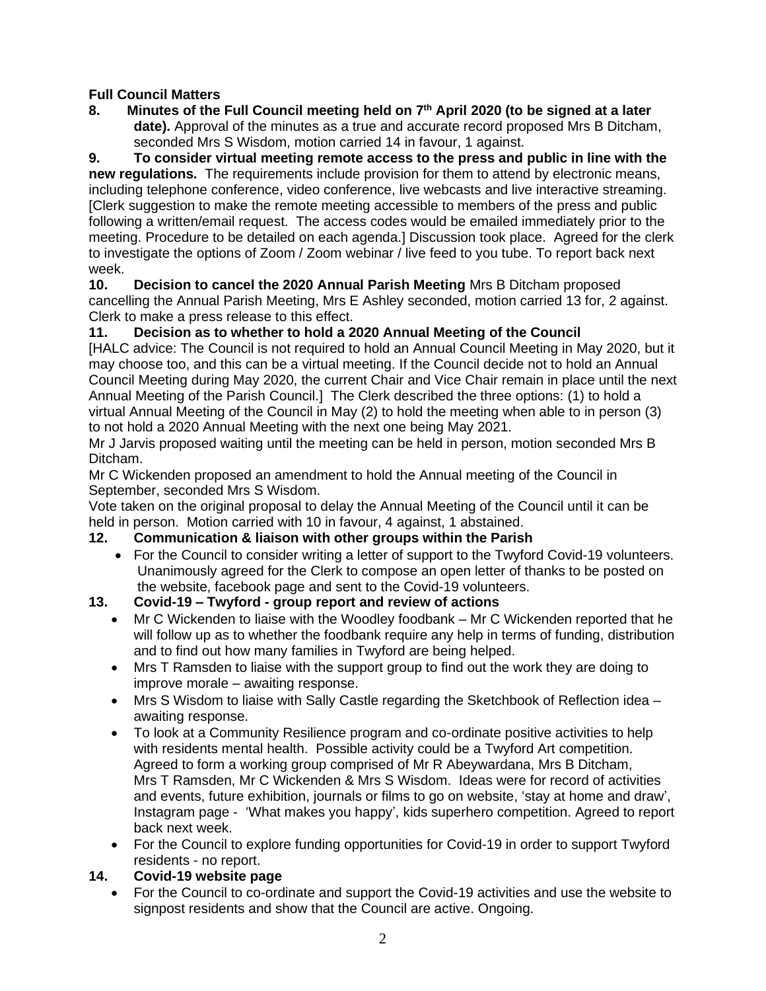## **Full Council Matters**

**8. Minutes of the Full Council meeting held on 7 th April 2020 (to be signed at a later date).** Approval of the minutes as a true and accurate record proposed Mrs B Ditcham, seconded Mrs S Wisdom, motion carried 14 in favour, 1 against.

**9. To consider virtual meeting remote access to the press and public in line with the new regulations.** The requirements include provision for them to attend by electronic means, including telephone conference, video conference, live webcasts and live interactive streaming. [Clerk suggestion to make the remote meeting accessible to members of the press and public following a written/email request. The access codes would be emailed immediately prior to the meeting. Procedure to be detailed on each agenda.] Discussion took place. Agreed for the clerk to investigate the options of Zoom / Zoom webinar / live feed to you tube. To report back next week.

**10. Decision to cancel the 2020 Annual Parish Meeting** Mrs B Ditcham proposed cancelling the Annual Parish Meeting, Mrs E Ashley seconded, motion carried 13 for, 2 against. Clerk to make a press release to this effect.

# **11. Decision as to whether to hold a 2020 Annual Meeting of the Council**

[HALC advice: The Council is not required to hold an Annual Council Meeting in May 2020, but it may choose too, and this can be a virtual meeting. If the Council decide not to hold an Annual Council Meeting during May 2020, the current Chair and Vice Chair remain in place until the next Annual Meeting of the Parish Council.] The Clerk described the three options: (1) to hold a virtual Annual Meeting of the Council in May (2) to hold the meeting when able to in person (3) to not hold a 2020 Annual Meeting with the next one being May 2021.

Mr J Jarvis proposed waiting until the meeting can be held in person, motion seconded Mrs B Ditcham.

Mr C Wickenden proposed an amendment to hold the Annual meeting of the Council in September, seconded Mrs S Wisdom.

Vote taken on the original proposal to delay the Annual Meeting of the Council until it can be held in person. Motion carried with 10 in favour, 4 against, 1 abstained.

## **12. Communication & liaison with other groups within the Parish**

• For the Council to consider writing a letter of support to the Twyford Covid-19 volunteers. Unanimously agreed for the Clerk to compose an open letter of thanks to be posted on the website, facebook page and sent to the Covid-19 volunteers.

## **13. Covid-19 – Twyford - group report and review of actions**

- Mr C Wickenden to liaise with the Woodley foodbank Mr C Wickenden reported that he will follow up as to whether the foodbank require any help in terms of funding, distribution and to find out how many families in Twyford are being helped.
- Mrs T Ramsden to liaise with the support group to find out the work they are doing to improve morale – awaiting response.
- Mrs S Wisdom to liaise with Sally Castle regarding the Sketchbook of Reflection idea awaiting response.
- To look at a Community Resilience program and co-ordinate positive activities to help with residents mental health. Possible activity could be a Twyford Art competition. Agreed to form a working group comprised of Mr R Abeywardana, Mrs B Ditcham, Mrs T Ramsden, Mr C Wickenden & Mrs S Wisdom. Ideas were for record of activities and events, future exhibition, journals or films to go on website, 'stay at home and draw', Instagram page - 'What makes you happy', kids superhero competition. Agreed to report back next week.
- For the Council to explore funding opportunities for Covid-19 in order to support Twyford residents - no report.

## **14. Covid-19 website page**

• For the Council to co-ordinate and support the Covid-19 activities and use the website to signpost residents and show that the Council are active. Ongoing.